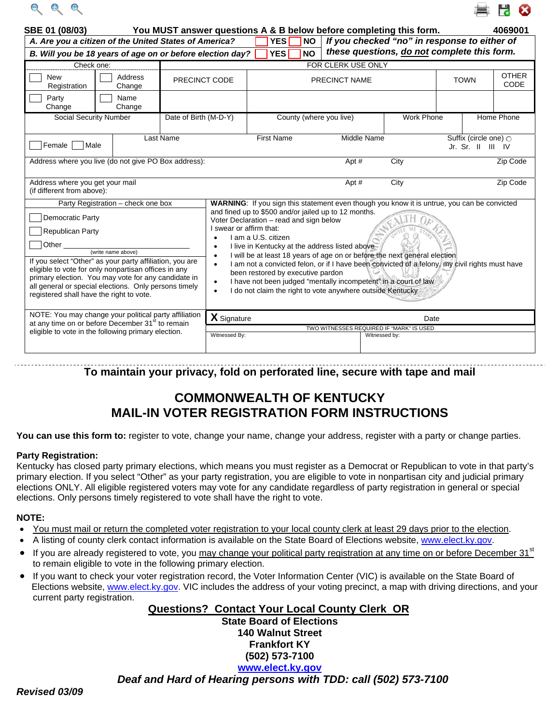



| SBE 01 (08/03)                                                                                                                                                                                                                                                                                                                                                    |                                    |                          | You MUST answer questions A & B below before completing this form.<br><b>NO</b>                                                                                                                                                                                                                                                                                                                                                                                                                                                                                                                                                                                                                                                       |                                  |                                                                                             |                      | 4069001           |                                            |            |                      |
|-------------------------------------------------------------------------------------------------------------------------------------------------------------------------------------------------------------------------------------------------------------------------------------------------------------------------------------------------------------------|------------------------------------|--------------------------|---------------------------------------------------------------------------------------------------------------------------------------------------------------------------------------------------------------------------------------------------------------------------------------------------------------------------------------------------------------------------------------------------------------------------------------------------------------------------------------------------------------------------------------------------------------------------------------------------------------------------------------------------------------------------------------------------------------------------------------|----------------------------------|---------------------------------------------------------------------------------------------|----------------------|-------------------|--------------------------------------------|------------|----------------------|
| A. Are you a citizen of the United States of America?                                                                                                                                                                                                                                                                                                             |                                    | <b>YES</b><br><b>YES</b> |                                                                                                                                                                                                                                                                                                                                                                                                                                                                                                                                                                                                                                                                                                                                       |                                  | If you checked "no" in response to either of<br>these questions, do not complete this form. |                      |                   |                                            |            |                      |
| B. Will you be 18 years of age on or before election day?<br>Check one:                                                                                                                                                                                                                                                                                           |                                    |                          |                                                                                                                                                                                                                                                                                                                                                                                                                                                                                                                                                                                                                                                                                                                                       |                                  | <b>NO</b>                                                                                   | FOR CLERK USE ONLY   |                   |                                            |            |                      |
| <b>New</b><br>Registration                                                                                                                                                                                                                                                                                                                                        | Address<br>PRECINCT CODE<br>Change |                          |                                                                                                                                                                                                                                                                                                                                                                                                                                                                                                                                                                                                                                                                                                                                       |                                  |                                                                                             | <b>PRECINCT NAME</b> |                   | <b>TOWN</b>                                |            | <b>OTHER</b><br>CODE |
| Party<br>Change                                                                                                                                                                                                                                                                                                                                                   | Name<br>Change                     |                          |                                                                                                                                                                                                                                                                                                                                                                                                                                                                                                                                                                                                                                                                                                                                       |                                  |                                                                                             |                      |                   |                                            |            |                      |
| Social Security Number                                                                                                                                                                                                                                                                                                                                            |                                    |                          | Date of Birth (M-D-Y)                                                                                                                                                                                                                                                                                                                                                                                                                                                                                                                                                                                                                                                                                                                 |                                  | County (where you live)                                                                     |                      | <b>Work Phone</b> |                                            | Home Phone |                      |
| Last Name<br>Female Male                                                                                                                                                                                                                                                                                                                                          |                                    |                          |                                                                                                                                                                                                                                                                                                                                                                                                                                                                                                                                                                                                                                                                                                                                       | <b>First Name</b><br>Middle Name |                                                                                             |                      |                   | Suffix (circle one) O<br>Jr. Sr. II III IV |            |                      |
| Address where you live (do not give PO Box address):                                                                                                                                                                                                                                                                                                              |                                    |                          |                                                                                                                                                                                                                                                                                                                                                                                                                                                                                                                                                                                                                                                                                                                                       |                                  |                                                                                             | Apt #                | City              |                                            |            | Zip Code             |
| Address where you get your mail<br>(if different from above):                                                                                                                                                                                                                                                                                                     |                                    |                          |                                                                                                                                                                                                                                                                                                                                                                                                                                                                                                                                                                                                                                                                                                                                       |                                  |                                                                                             | Apt #                | City              |                                            |            | Zip Code             |
| Party Registration - check one box<br><b>Democratic Party</b><br>Republican Party<br>If you select "Other" as your party affiliation, you are<br>eligible to vote for only nonpartisan offices in any<br>primary election. You may vote for any candidate in<br>all general or special elections. Only persons timely<br>registered shall have the right to vote. |                                    |                          | WARNING: If you sign this statement even though you know it is untrue, you can be convicted<br>and fined up to \$500 and/or jailed up to 12 months.<br>Voter Declaration - read and sign below<br>I swear or affirm that:<br>I am a U.S. citizen<br>$\bullet$<br>I live in Kentucky at the address listed above<br>$\bullet$<br>I will be at least 18 years of age on or before the next general election<br>$\bullet$<br>I am not a convicted felon, or if I have been convicted of a felony, my civil rights must have<br>$\bullet$<br>been restored by executive pardon<br>I have not been judged "mentally incompetent" in a court of law<br>$\bullet$<br>I do not claim the right to vote anywhere outside Kentucky<br>$\bullet$ |                                  |                                                                                             |                      |                   |                                            |            |                      |
| NOTE: You may change your political party affiliation<br>at any time on or before December 31 <sup>st</sup> to remain<br>eligible to vote in the following primary election.                                                                                                                                                                                      |                                    |                          | X Signature<br>Date                                                                                                                                                                                                                                                                                                                                                                                                                                                                                                                                                                                                                                                                                                                   |                                  |                                                                                             |                      |                   |                                            |            |                      |
|                                                                                                                                                                                                                                                                                                                                                                   |                                    |                          | TWO WITNESSES REQUIRED IF "MARK" IS USED<br>Witnessed By:<br>Witnessed by:                                                                                                                                                                                                                                                                                                                                                                                                                                                                                                                                                                                                                                                            |                                  |                                                                                             |                      |                   |                                            |            |                      |
|                                                                                                                                                                                                                                                                                                                                                                   |                                    |                          |                                                                                                                                                                                                                                                                                                                                                                                                                                                                                                                                                                                                                                                                                                                                       |                                  |                                                                                             |                      |                   |                                            |            |                      |

## **To maintain your privacy, fold on perforated line, secure with tape and mail**

## **COMMONWEALTH OF KENTUCKY MAIL-IN VOTER REGISTRATION FORM INSTRUCTIONS**

You can use this form to: register to vote, change your name, change your address, register with a party or change parties.

## **Party Registration:**

Kentucky has closed party primary elections, which means you must register as a Democrat or Republican to vote in that party's primary election. If you select "Other" as your party registration, you are eligible to vote in nonpartisan city and judicial primary elections ONLY. All eligible registered voters may vote for any candidate regardless of party registration in general or special elections. Only persons timely registered to vote shall have the right to vote.

## **NOTE:**

- You must mail or return the completed voter registration to your local county clerk at least 29 days prior to the election.
- A listing of county clerk contact information is available on the State Board of Elections website, [www.elect.ky.gov.](http://www.elect.ky.gov/)
- If you are already registered to vote, you may change your political party registration at any time on or before December 31<sup>st</sup> to remain eligible to vote in the following primary election.
- If you want to check your voter registration record, the Voter Information Center (VIC) is available on the State Board of Elections website, [www.elect.ky.gov.](http://www.elect.ky.gov/) VIC includes the address of your voting precinct, a map with driving directions, and your current party registration.

**Questions? Contact Your Local County Clerk OR State Board of Elections 140 Walnut Street Frankfort KY (502) 573-7100 [www.elect.ky.gov](http://www.elect.ky.gov/)**

 *Deaf and Hard of Hearing persons with TDD: call (502) 573-7100*